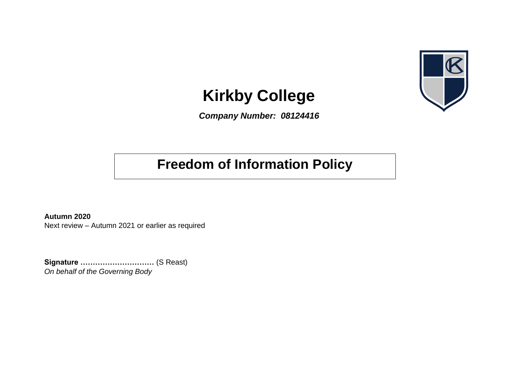

# **Kirkby College**

*Company Number: 08124416*

## **Freedom of Information Policy**

**Autumn 2020** Next review – Autumn 2021 or earlier as required

**Signature …………………………** (S Reast) *On behalf of the Governing Body*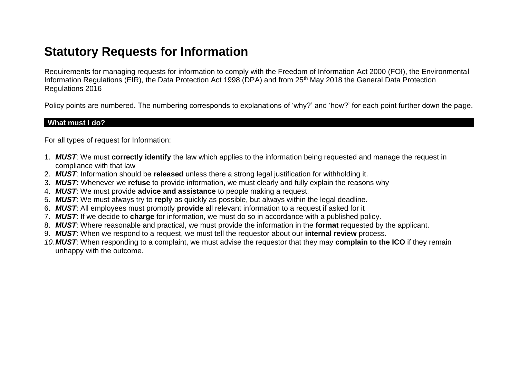### **Statutory Requests for Information**

Requirements for managing requests for information to comply with the Freedom of Information Act 2000 (FOI), the Environmental Information Regulations (EIR), the Data Protection Act 1998 (DPA) and from 25<sup>th</sup> May 2018 the General Data Protection Regulations 2016

Policy points are numbered. The numbering corresponds to explanations of 'why?' and 'how?' for each point further down the page.

#### **What must I do?**

For all types of request for Information:

- 1. *MUST*: We must **correctly identify** the law which applies to the information being requested and manage the request in compliance with that law
- 2. *MUST*: Information should be **released** unless there a strong legal justification for withholding it.
- 3. *MUST:* Whenever we **refuse** to provide information, we must clearly and fully explain the reasons why
- 4. *MUST*: We must provide **advice and assistance** to people making a request.
- 5. *MUST*: We must always try to **reply** as quickly as possible, but always within the legal deadline.
- 6. *MUST*: All employees must promptly **provide** all relevant information to a request if asked for it
- 7. *MUST*: If we decide to **charge** for information, we must do so in accordance with a published policy.
- 8. *MUST*: Where reasonable and practical, we must provide the information in the **format** requested by the applicant.
- 9. *MUST*: When we respond to a request, we must tell the requestor about our **internal review** process.
- *10.MUST*: When responding to a complaint, we must advise the requestor that they may **complain to the ICO** if they remain unhappy with the outcome.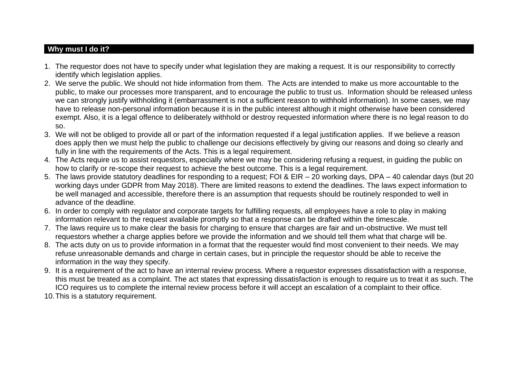#### **Why must I do it?**

- 1. The requestor does not have to specify under what legislation they are making a request. It is our responsibility to correctly identify which legislation applies.
- 2. We serve the public. We should not hide information from them. The Acts are intended to make us more accountable to the public, to make our processes more transparent, and to encourage the public to trust us. Information should be released unless we can strongly justify withholding it (embarrassment is not a sufficient reason to withhold information). In some cases, we may have to release non-personal information because it is in the public interest although it might otherwise have been considered exempt. Also, it is a legal offence to deliberately withhold or destroy requested information where there is no legal reason to do so.
- 3. We will not be obliged to provide all or part of the information requested if a legal justification applies. If we believe a reason does apply then we must help the public to challenge our decisions effectively by giving our reasons and doing so clearly and fully in line with the requirements of the Acts. This is a legal requirement.
- 4. The Acts require us to assist requestors, especially where we may be considering refusing a request, in guiding the public on how to clarify or re-scope their request to achieve the best outcome. This is a legal requirement.
- 5. The laws provide statutory deadlines for responding to a request; FOI & EIR 20 working days, DPA 40 calendar days (but 20 working days under GDPR from May 2018). There are limited reasons to extend the deadlines. The laws expect information to be well managed and accessible, therefore there is an assumption that requests should be routinely responded to well in advance of the deadline.
- 6. In order to comply with regulator and corporate targets for fulfilling requests, all employees have a role to play in making information relevant to the request available promptly so that a response can be drafted within the timescale.
- 7. The laws require us to make clear the basis for charging to ensure that charges are fair and un-obstructive. We must tell requestors whether a charge applies before we provide the information and we should tell them what that charge will be.
- 8. The acts duty on us to provide information in a format that the requester would find most convenient to their needs. We may refuse unreasonable demands and charge in certain cases, but in principle the requestor should be able to receive the information in the way they specify.
- 9. It is a requirement of the act to have an internal review process. Where a requestor expresses dissatisfaction with a response, this must be treated as a complaint. The act states that expressing dissatisfaction is enough to require us to treat it as such. The ICO requires us to complete the internal review process before it will accept an escalation of a complaint to their office.
- 10.This is a statutory requirement.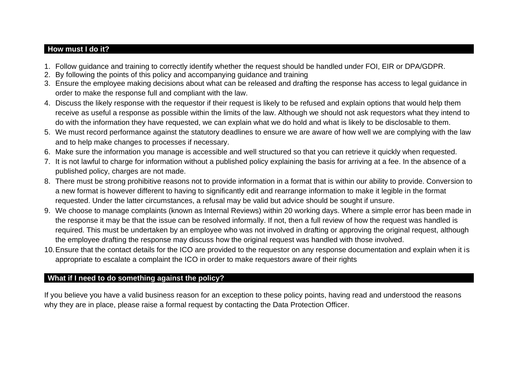#### **How must I do it?**

- 1. Follow guidance and training to correctly identify whether the request should be handled under FOI, EIR or DPA/GDPR.
- 2. By following the points of this policy and accompanying guidance and training
- 3. Ensure the employee making decisions about what can be released and drafting the response has access to legal guidance in order to make the response full and compliant with the law.
- 4. Discuss the likely response with the requestor if their request is likely to be refused and explain options that would help them receive as useful a response as possible within the limits of the law. Although we should not ask requestors what they intend to do with the information they have requested, we can explain what we do hold and what is likely to be disclosable to them.
- 5. We must record performance against the statutory deadlines to ensure we are aware of how well we are complying with the law and to help make changes to processes if necessary.
- 6. Make sure the information you manage is accessible and well structured so that you can retrieve it quickly when requested.
- 7. It is not lawful to charge for information without a published policy explaining the basis for arriving at a fee. In the absence of a published policy, charges are not made.
- 8. There must be strong prohibitive reasons not to provide information in a format that is within our ability to provide. Conversion to a new format is however different to having to significantly edit and rearrange information to make it legible in the format requested. Under the latter circumstances, a refusal may be valid but advice should be sought if unsure.
- 9. We choose to manage complaints (known as Internal Reviews) within 20 working days. Where a simple error has been made in the response it may be that the issue can be resolved informally. If not, then a full review of how the request was handled is required. This must be undertaken by an employee who was not involved in drafting or approving the original request, although the employee drafting the response may discuss how the original request was handled with those involved.
- 10.Ensure that the contact details for the ICO are provided to the requestor on any response documentation and explain when it is appropriate to escalate a complaint the ICO in order to make requestors aware of their rights

#### **What if I need to do something against the policy?**

If you believe you have a valid business reason for an exception to these policy points, having read and understood the reasons why they are in place, please raise a formal request by contacting the Data Protection Officer.